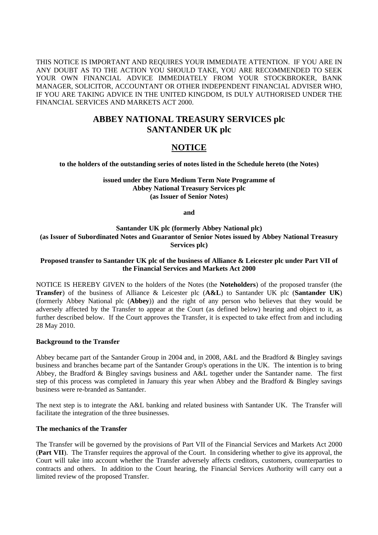THIS NOTICE IS IMPORTANT AND REQUIRES YOUR IMMEDIATE ATTENTION. IF YOU ARE IN ANY DOUBT AS TO THE ACTION YOU SHOULD TAKE, YOU ARE RECOMMENDED TO SEEK YOUR OWN FINANCIAL ADVICE IMMEDIATELY FROM YOUR STOCKBROKER, BANK MANAGER, SOLICITOR, ACCOUNTANT OR OTHER INDEPENDENT FINANCIAL ADVISER WHO, IF YOU ARE TAKING ADVICE IN THE UNITED KINGDOM, IS DULY AUTHORISED UNDER THE FINANCIAL SERVICES AND MARKETS ACT 2000.

# **ABBEY NATIONAL TREASURY SERVICES plc SANTANDER UK plc**

# **NOTICE**

**to the holders of the outstanding series of notes listed in the Schedule hereto (the Notes)** 

#### **issued under the Euro Medium Term Note Programme of Abbey National Treasury Services plc (as Issuer of Senior Notes)**

**and** 

## **Santander UK plc (formerly Abbey National plc) (as Issuer of Subordinated Notes and Guarantor of Senior Notes issued by Abbey National Treasury Services plc)**

### **Proposed transfer to Santander UK plc of the business of Alliance & Leicester plc under Part VII of the Financial Services and Markets Act 2000**

NOTICE IS HEREBY GIVEN to the holders of the Notes (the **Noteholders**) of the proposed transfer (the **Transfer**) of the business of Alliance & Leicester plc (**A&L**) to Santander UK plc (**Santander UK**) (formerly Abbey National plc (**Abbey**)) and the right of any person who believes that they would be adversely affected by the Transfer to appear at the Court (as defined below) hearing and object to it, as further described below. If the Court approves the Transfer, it is expected to take effect from and including 28 May 2010.

#### **Background to the Transfer**

Abbey became part of the Santander Group in 2004 and, in 2008, A&L and the Bradford & Bingley savings business and branches became part of the Santander Group's operations in the UK. The intention is to bring Abbey, the Bradford & Bingley savings business and A&L together under the Santander name. The first step of this process was completed in January this year when Abbey and the Bradford & Bingley savings business were re-branded as Santander.

The next step is to integrate the A&L banking and related business with Santander UK. The Transfer will facilitate the integration of the three businesses.

#### **The mechanics of the Transfer**

The Transfer will be governed by the provisions of Part VII of the Financial Services and Markets Act 2000 (**Part VII**). The Transfer requires the approval of the Court. In considering whether to give its approval, the Court will take into account whether the Transfer adversely affects creditors, customers, counterparties to contracts and others. In addition to the Court hearing, the Financial Services Authority will carry out a limited review of the proposed Transfer.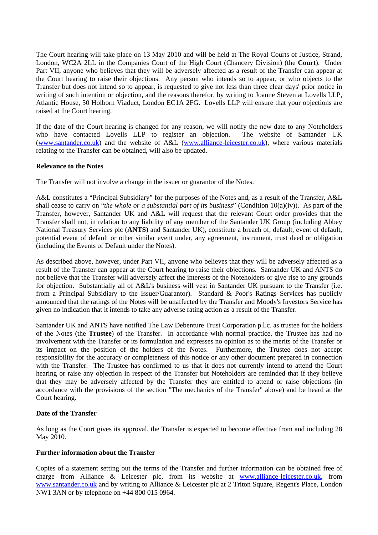The Court hearing will take place on 13 May 2010 and will be held at The Royal Courts of Justice, Strand, London, WC2A 2LL in the Companies Court of the High Court (Chancery Division) (the **Court**). Under Part VII, anyone who believes that they will be adversely affected as a result of the Transfer can appear at the Court hearing to raise their objections. Any person who intends so to appear, or who objects to the Transfer but does not intend so to appear, is requested to give not less than three clear days' prior notice in writing of such intention or objection, and the reasons therefor, by writing to Joanne Steven at Lovells LLP, Atlantic House, 50 Holborn Viaduct, London EC1A 2FG. Lovells LLP will ensure that your objections are raised at the Court hearing.

If the date of the Court hearing is changed for any reason, we will notify the new date to any Noteholders who have contacted Lovells LLP to register an objection. The website of Santander UK (www.santander.co.uk) and the website of A&L (www.alliance-leicester.co.uk), where various materials relating to the Transfer can be obtained, will also be updated.

#### **Relevance to the Notes**

The Transfer will not involve a change in the issuer or guarantor of the Notes.

A&L constitutes a "Principal Subsidiary" for the purposes of the Notes and, as a result of the Transfer, A&L shall cease to carry on "*the whole or a substantial part of its business*" (Condition 10(a)(iv)). As part of the Transfer, however, Santander UK and A&L will request that the relevant Court order provides that the Transfer shall not, in relation to any liability of any member of the Santander UK Group (including Abbey National Treasury Services plc (**ANTS**) and Santander UK), constitute a breach of, default, event of default, potential event of default or other similar event under, any agreement, instrument, trust deed or obligation (including the Events of Default under the Notes).

As described above, however, under Part VII, anyone who believes that they will be adversely affected as a result of the Transfer can appear at the Court hearing to raise their objections. Santander UK and ANTS do not believe that the Transfer will adversely affect the interests of the Noteholders or give rise to any grounds for objection. Substantially all of A&L's business will vest in Santander UK pursuant to the Transfer (i.e. from a Principal Subsidiary to the Issuer/Guarantor). Standard & Poor's Ratings Services has publicly announced that the ratings of the Notes will be unaffected by the Transfer and Moody's Investors Service has given no indication that it intends to take any adverse rating action as a result of the Transfer.

Santander UK and ANTS have notified The Law Debenture Trust Corporation p.l.c. as trustee for the holders of the Notes (the **Trustee**) of the Transfer. In accordance with normal practice, the Trustee has had no involvement with the Transfer or its formulation and expresses no opinion as to the merits of the Transfer or its impact on the position of the holders of the Notes. Furthermore, the Trustee does not accept responsibility for the accuracy or completeness of this notice or any other document prepared in connection with the Transfer. The Trustee has confirmed to us that it does not currently intend to attend the Court hearing or raise any objection in respect of the Transfer but Noteholders are reminded that if they believe that they may be adversely affected by the Transfer they are entitled to attend or raise objections (in accordance with the provisions of the section "The mechanics of the Transfer" above) and be heard at the Court hearing.

#### **Date of the Transfer**

As long as the Court gives its approval, the Transfer is expected to become effective from and including 28 May 2010*.*

#### **Further information about the Transfer**

Copies of a statement setting out the terms of the Transfer and further information can be obtained free of charge from Alliance & Leicester plc, from its website at www.alliance-leicester.co.uk, from www.santander.co.uk and by writing to Alliance & Leicester plc at 2 Triton Square, Regent's Place, London NW1 3AN or by telephone on +44 800 015 0964.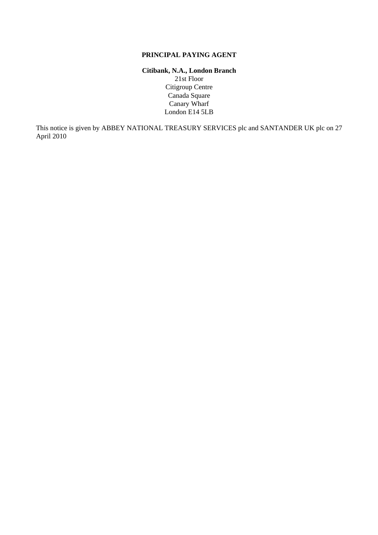## **PRINCIPAL PAYING AGENT**

### **Citibank, N.A., London Branch**  21st Floor Citigroup Centre Canada Square Canary Wharf London E14 5LB

This notice is given by ABBEY NATIONAL TREASURY SERVICES plc and SANTANDER UK plc on 27 April 2010